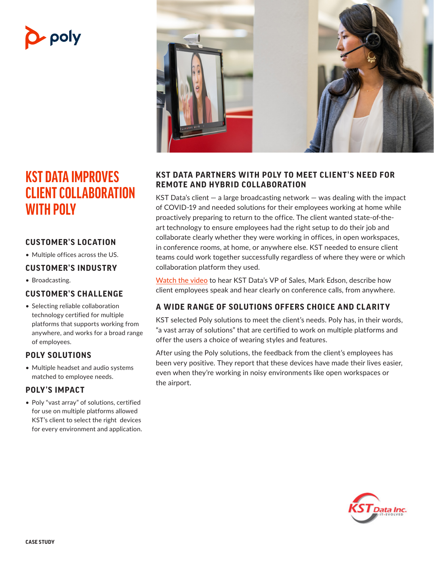# • poly

## **KST DATA IMPROVES CLIENT COLLABORATION WITH POLY**

#### **CUSTOMER'S LOCATION**

• Multiple offices across the US.

#### **CUSTOMER'S INDUSTRY**

• Broadcasting.

#### **CUSTOMER'S CHALLENGE**

• Selecting reliable collaboration technology certified for multiple platforms that supports working from anywhere, and works for a broad range of employees.

#### **POLY SOLUTIONS**

• Multiple headset and audio systems matched to employee needs.

#### **POLY'S IMPACT**

• Poly "vast array" of solutions, certified for use on multiple platforms allowed KST's client to select the right devices for every environment and application.



#### **KST DATA PARTNERS WITH POLY TO MEET CLIENT'S NEED FOR REMOTE AND HYBRID COLLABORATION**

KST Data's client — a large broadcasting network — was dealing with the impact of COVID-19 and needed solutions for their employees working at home while proactively preparing to return to the office. The client wanted state-of-theart technology to ensure employees had the right setup to do their job and collaborate clearly whether they were working in offices, in open workspaces, in conference rooms, at home, or anywhere else. KST needed to ensure client teams could work together successfully regardless of where they were or which collaboration platform they used.

[Watch the video](https://www.youtube.com/watch?v=_55eO1BIjPk) to hear KST Data's VP of Sales, Mark Edson, describe how client employees speak and hear clearly on conference calls, from anywhere.

#### **A WIDE R ANGE OF SOLUTIONS OFFERS CHOICE AND CLARIT Y**

KST selected Poly solutions to meet the client's needs. Poly has, in their words, "a vast array of solutions" that are certified to work on multiple platforms and offer the users a choice of wearing styles and features.

After using the Poly solutions, the feedback from the client's employees has been very positive. They report that these devices have made their lives easier, even when they're working in noisy environments like open workspaces or the airport.